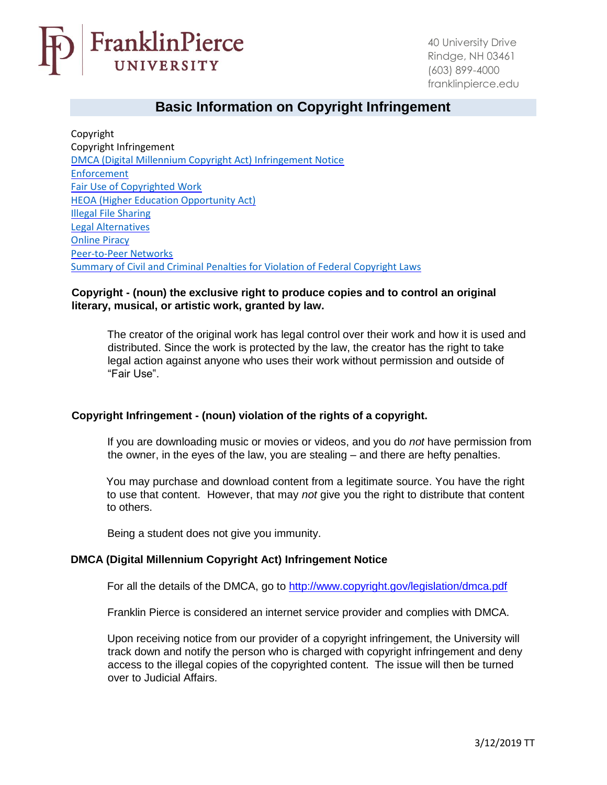

## **Basic Information on Copyright Infringement**

Copyright Copyright Infringement [DMCA \(Digital Millennium Copyright Act\) Infringement Notice](#page-0-0) [Enforcement](#page-1-0) [Fair Use of Copyrighted Work](#page-1-1) [HEOA \(Higher Education Opportunity Act\)](#page-1-2) [Illegal File Sharing](#page-2-0) [Legal Alternatives](#page-2-1) [Online Piracy](#page-2-2) [Peer-to-Peer Networks](#page-2-3) [Summary of Civil and Criminal Penalties for Violation of Federal Copyright Laws](#page-3-0)

## **Copyright - (noun) the exclusive right to produce copies and to control an original literary, musical, or artistic work, granted by law.**

The creator of the original work has legal control over their work and how it is used and distributed. Since the work is protected by the law, the creator has the right to take legal action against anyone who uses their work without permission and outside of "Fair Use".

## **Copyright Infringement - (noun) violation of the rights of a copyright.**

If you are downloading music or movies or videos, and you do *not* have permission from the owner, in the eyes of the law, you are stealing – and there are hefty penalties.

You may purchase and download content from a legitimate source. You have the right to use that content. However, that may *not* give you the right to distribute that content to others.

Being a student does not give you immunity.

## <span id="page-0-0"></span>**DMCA (Digital Millennium Copyright Act) Infringement Notice**

For all the details of the DMCA, go to<http://www.copyright.gov/legislation/dmca.pdf>

Franklin Pierce is considered an internet service provider and complies with DMCA.

Upon receiving notice from our provider of a copyright infringement, the University will track down and notify the person who is charged with copyright infringement and deny access to the illegal copies of the copyrighted content. The issue will then be turned over to Judicial Affairs.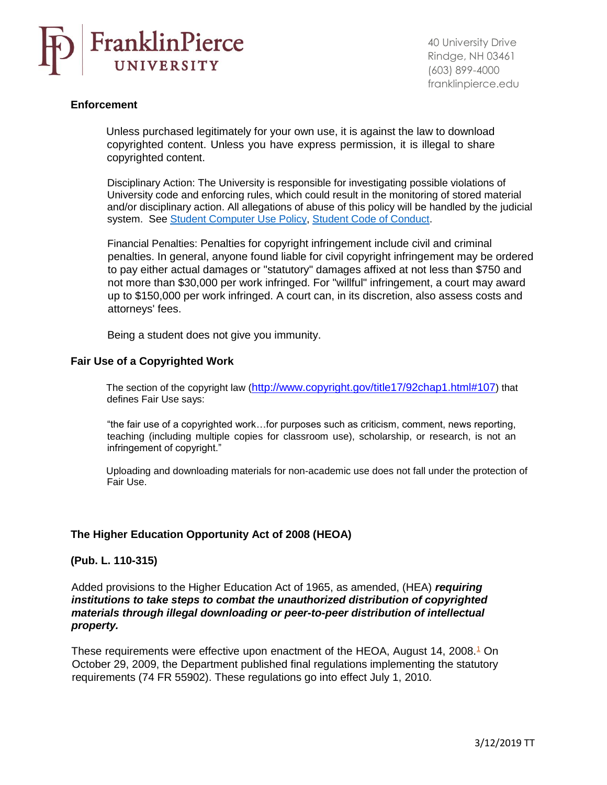

#### <span id="page-1-0"></span>**Enforcement**

Unless purchased legitimately for your own use, it is against the law to download copyrighted content. Unless you have express permission, it is illegal to share copyrighted content.

Disciplinary Action: The University is responsible for investigating possible violations of University code and enforcing rules, which could result in the monitoring of stored material and/or disciplinary action. All allegations of abuse of this policy will be handled by the judicial system. See [Student Computer Use Policy, Student Code of Conduct.](https://www.franklinpierce.edu/studentlife/student-conduct/)

Financial Penalties: Penalties for copyright infringement include civil and criminal penalties. In general, anyone found liable for civil copyright infringement may be ordered to pay either actual damages or "statutory" damages affixed at not less than \$750 and not more than \$30,000 per work infringed. For "willful" infringement, a court may award up to \$150,000 per work infringed. A court can, in its discretion, also assess costs and attorneys' fees.

Being a student does not give you immunity.

## <span id="page-1-1"></span>**Fair Use of a Copyrighted Work**

The section of the copyright law (<http://www.copyright.gov/title17/92chap1.html#107>[\) that](http://www.copyright.gov/title17/92chap1.html#107) defines Fair Use says:

"the fair use of a copyrighted work…for purposes such as criticism, comment, news reporting, teaching (including multiple copies for classroom use), scholarship, or research, is not an infringement of copyright."

Uploading and downloading materials for non-academic use does not fall under the protection of Fair Use.

## **The Higher Education Opportunity Act of 2008 (HEOA)**

## <span id="page-1-2"></span>**(Pub. L. 110-315)**

Added provisions to the Higher Education Act of 1965, as amended, (HEA) *requiring institutions to take steps to combat the unauthorized distribution of copyrighted materials through illegal downloading or peer-to-peer distribution of intellectual property.*

These requirements were effective upon enactment of the HEOA, August 14, 2008.<sup>1</sup> On October 29, 2009, the Department published final regulations implementing the statutory requirements (74 FR 55902). These regulations go into effect July 1, 2010.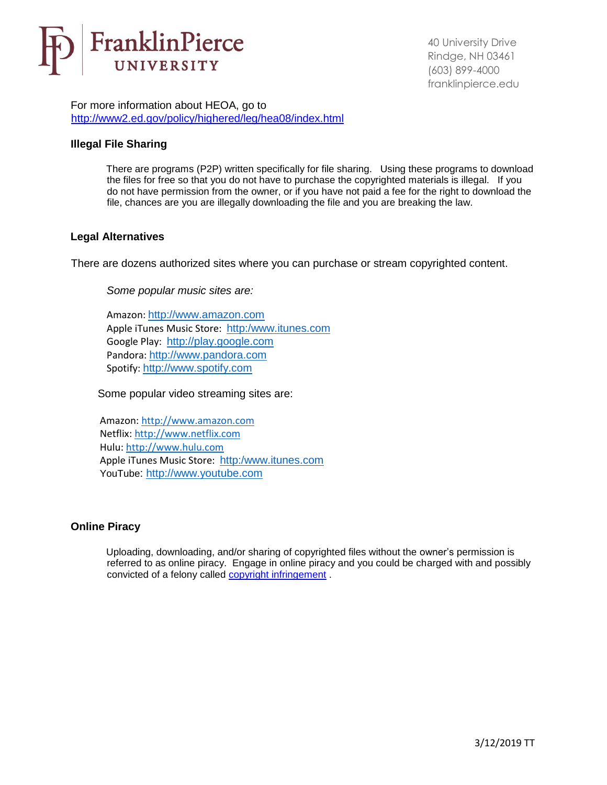

For more information about HEOA, go to <http://www2.ed.gov/policy/highered/leg/hea08/index.html>

## <span id="page-2-0"></span>**Illegal File Sharing**

There are programs (P2P) written specifically for file sharing. Using these programs to download the files for free so that you do not have to purchase the copyrighted materials is illegal. If you do not have permission from the owner, or if you have not paid a fee for the right to download the file, chances are you are illegally downloading the file and you are breaking the law.

## <span id="page-2-1"></span>**Legal Alternatives**

There are dozens authorized sites where you can purchase or stream copyrighted content.

*Some popular music sites are:*

Amazon: [http://www.amazon.com](http://www.amazon.com/) Apple iTunes Music Store: [http:/www.itunes.com](http://www.itunes.com/) Google Play: [http://play.google.com](http://play.google.com/) Pandora: [http://www.pandora.com](http://www.pandora.com/) Spotify: [http://www.spotify.com](http://www.spotify.com/)

Some popular video streaming sites are:

Amazon[: http://www.amazon.com](http://www.amazon.com/) Netflix[: http://www.netflix.com](http://www.netflix.com/) Hulu: [http://www.hulu.com](http://www.hulu.com/) Apple iTunes Music Store: [http:/www.itunes.com](http://www.itunes.com/) YouTube: [http://www.youtube.com](http://www.youtube.com/)

## <span id="page-2-2"></span>**Online Piracy**

<span id="page-2-3"></span>Uploading, downloading, and/or sharing of copyrighted files without the owner's permission is referred to as online piracy. Engage in online piracy and you could be charged with and possibly convicted of a felony called copyright infringement .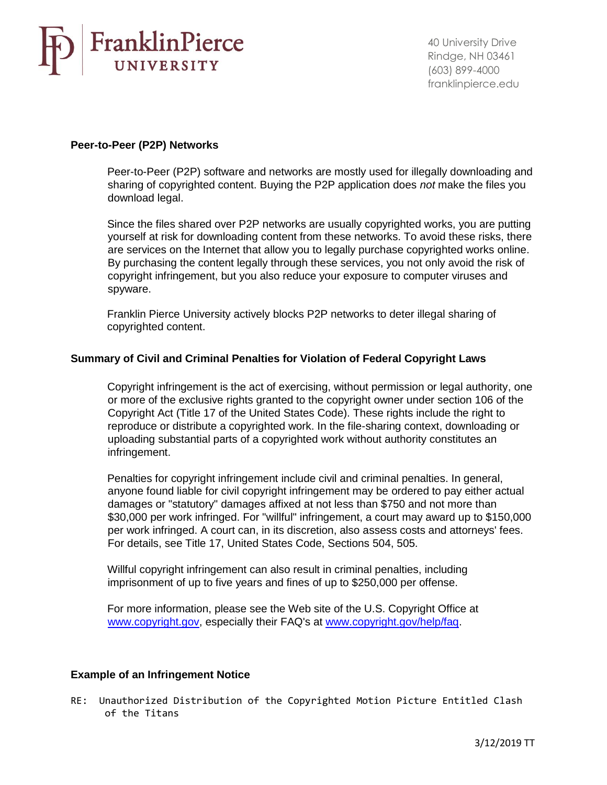# FranklinPierce UNIVERSITY

40 University Drive Rindge, NH 03461 (603) 899-4000 franklinpierce.edu

## **Peer-to-Peer (P2P) Networks**

Peer-to-Peer (P2P) software and networks are mostly used for illegally downloading and sharing of copyrighted content. Buying the P2P application does *not* make the files you download legal.

Since the files shared over P2P networks are usually copyrighted works, you are putting yourself at risk for downloading content from these networks. To avoid these risks, there are services on the Internet that allow you to legally purchase copyrighted works online. By purchasing the content legally through these services, you not only avoid the risk of copyright infringement, but you also reduce your exposure to computer viruses and spyware.

Franklin Pierce University actively blocks P2P networks to deter illegal sharing of copyrighted content.

## <span id="page-3-0"></span>**Summary of Civil and Criminal Penalties for Violation of Federal Copyright Laws**

Copyright infringement is the act of exercising, without permission or legal authority, one or more of the exclusive rights granted to the copyright owner under section 106 of the Copyright Act (Title 17 of the United States Code). These rights include the right to reproduce or distribute a copyrighted work. In the file-sharing context, downloading or uploading substantial parts of a copyrighted work without authority constitutes an infringement.

Penalties for copyright infringement include civil and criminal penalties. In general, anyone found liable for civil copyright infringement may be ordered to pay either actual damages or "statutory" damages affixed at not less than \$750 and not more than \$30,000 per work infringed. For "willful" infringement, a court may award up to \$150,000 per work infringed. A court can, in its discretion, also assess costs and attorneys' fees. For details, see Title 17, United States Code, Sections 504, 505.

Willful copyright infringement can also result in criminal penalties, including imprisonment of up to five years and fines of up to \$250,000 per offense.

For more information, please see the Web site of the U.S. Copyright Office at [www.copyright.gov, espe](http://www.copyright.gov/)cially their FAQ's at www.copyright.gov/help/faq.

## **Example of an Infringement Notice**

RE: Unauthorized Distribution of the Copyrighted Motion Picture Entitled Clash of the Titans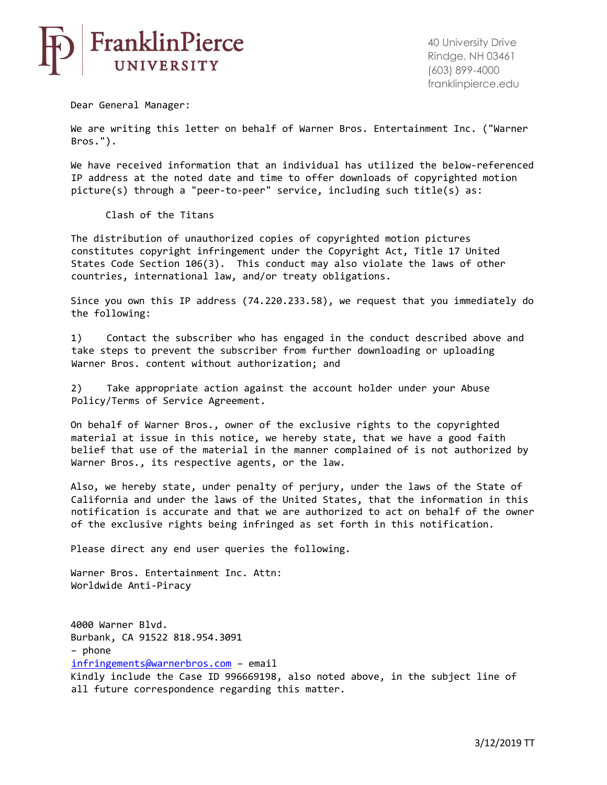

Dear General Manager:

We are writing this letter on behalf of Warner Bros. Entertainment Inc. ("Warner Bros.").

We have received information that an individual has utilized the below-referenced IP address at the noted date and time to offer downloads of copyrighted motion picture(s) through a "peer-to-peer" service, including such title(s) as:

Clash of the Titans

The distribution of unauthorized copies of copyrighted motion pictures constitutes copyright infringement under the Copyright Act, Title 17 United States Code Section 106(3). This conduct may also violate the laws of other countries, international law, and/or treaty obligations.

Since you own this IP address (74.220.233.58), we request that you immediately do the following:

1) Contact the subscriber who has engaged in the conduct described above and take steps to prevent the subscriber from further downloading or uploading Warner Bros. content without authorization; and

2) Take appropriate action against the account holder under your Abuse Policy/Terms of Service Agreement.

On behalf of Warner Bros., owner of the exclusive rights to the copyrighted material at issue in this notice, we hereby state, that we have a good faith belief that use of the material in the manner complained of is not authorized by Warner Bros., its respective agents, or the law.

Also, we hereby state, under penalty of perjury, under the laws of the State of California and under the laws of the United States, that the information in this notification is accurate and that we are authorized to act on behalf of the owner of the exclusive rights being infringed as set forth in this notification.

Please direct any end user queries the following.

Warner Bros. Entertainment Inc. Attn: Worldwide Anti-Piracy

4000 Warner Blvd. Burbank, CA 91522 818.954.3091 – phone infringements@warnerbros.com – email Kindly include the Case ID 996669198, also noted above, in the subject line of all future correspondence regarding this matter.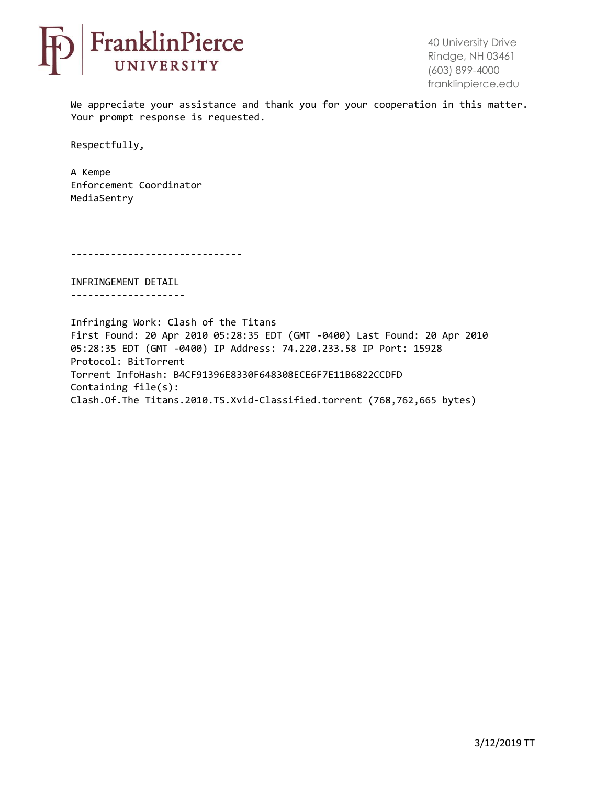

We appreciate your assistance and thank you for your cooperation in this matter. Your prompt response is requested.

Respectfully,

A Kempe Enforcement Coordinator MediaSentry

------------------------------

INFRINGEMENT DETAIL --------------------

Infringing Work: Clash of the Titans First Found: 20 Apr 2010 05:28:35 EDT (GMT -0400) Last Found: 20 Apr 2010 05:28:35 EDT (GMT -0400) IP Address: 74.220.233.58 IP Port: 15928 Protocol: BitTorrent Torrent InfoHash: B4CF91396E8330F648308ECE6F7E11B6822CCDFD Containing file(s): Clash.Of.The Titans.2010.TS.Xvid-Classified.torrent (768,762,665 bytes)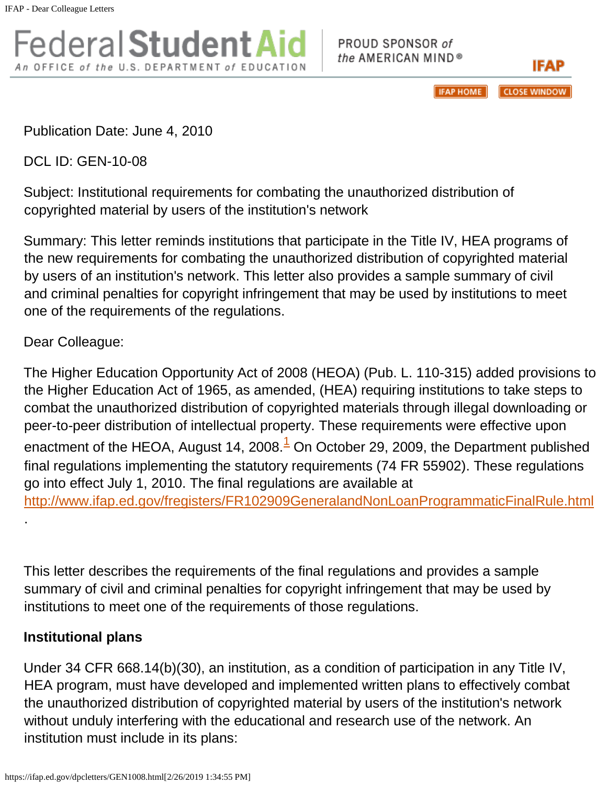Federal **Student Aid** An OFFICE of the U.S. DEPARTMENT of EDUCATION

PROUD SPONSOR of the AMERICAN MIND®

> **IFAP HOME CLOSE WINDOW**

IFAP

Publication Date: June 4, 2010

DCL ID: GEN-10-08

Subject: Institutional requirements for combating the unauthorized distribution of copyrighted material by users of the institution's network

Summary: This letter reminds institutions that participate in the Title IV, HEA programs of the new requirements for combating the unauthorized distribution of copyrighted material by users of an institution's network. This letter also provides a sample summary of civil and criminal penalties for copyright infringement that may be used by institutions to meet one of the requirements of the regulations.

Dear Colleague:

The Higher Education Opportunity Act of 2008 (HEOA) (Pub. L. 110-315) added provisions to the Higher Education Act of 1965, as amended, (HEA) requiring institutions to take steps to combat the unauthorized distribution of copyrighted materials through illegal downloading or peer-to-peer distribution of intellectual property. These requirements were effective upon enactment of the HEOA, August 14, 2008. $<sup>1</sup>$  On October 29, 2009, the Department published</sup> final regulations implementing the statutory requirements (74 FR 55902). These regulations go into effect July 1, 2010. The final [regulations are available at](athttp://www.ifap.ed.gov/fregisters/FR102909GeneralandNonLoanProgrammaticFinalRule.html.This)  [http://www.ifap.ed.gov/fregisters/FR102909GeneralandNonLoanProgrammaticFinalRule.html](athttp://www.ifap.ed.gov/fregisters/FR102909GeneralandNonLoanProgrammaticFinalRule.html.This)

[This let](athttp://www.ifap.ed.gov/fregisters/FR102909GeneralandNonLoanProgrammaticFinalRule.html.This)ter describes the requirements of the final regulations and provides a sample summary of civil and criminal penalties for copyright infringement that may be used by institutions to meet one of the requirements of those regulations.

## **Institutional plans**

[.](athttp://www.ifap.ed.gov/fregisters/FR102909GeneralandNonLoanProgrammaticFinalRule.html.This)

Under 34 CFR 668.14(b)(30), an institution, as a condition of participation in any Title IV, HEA program, must have developed and implemented written plans to effectively combat the unauthorized distribution of copyrighted material by users of the institution's network without unduly interfering with the educational and research use of the network. An institution must include in its plans: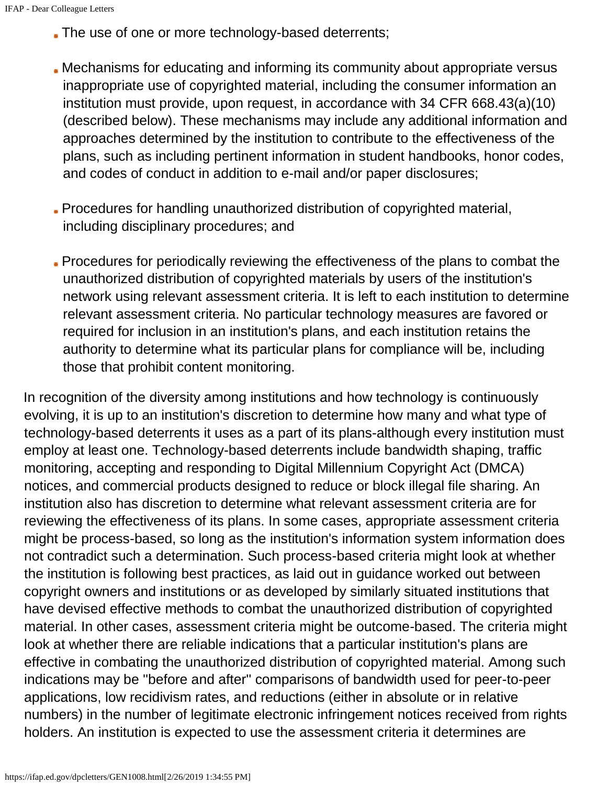- The use of one or more technology-based deterrents;
- Mechanisms for educating and informing its community about appropriate versus inappropriate use of copyrighted material, including the consumer information an institution must provide, upon request, in accordance with 34 CFR 668.43(a)(10) (described below). These mechanisms may include any additional information and approaches determined by the institution to contribute to the effectiveness of the plans, such as including pertinent information in student handbooks, honor codes, and codes of conduct in addition to e-mail and/or paper disclosures;
- Procedures for handling unauthorized distribution of copyrighted material, including disciplinary procedures; and
- Procedures for periodically reviewing the effectiveness of the plans to combat the unauthorized distribution of copyrighted materials by users of the institution's network using relevant assessment criteria. It is left to each institution to determine relevant assessment criteria. No particular technology measures are favored or required for inclusion in an institution's plans, and each institution retains the authority to determine what its particular plans for compliance will be, including those that prohibit content monitoring.

In recognition of the diversity among institutions and how technology is continuously evolving, it is up to an institution's discretion to determine how many and what type of technology-based deterrents it uses as a part of its plans-although every institution must employ at least one. Technology-based deterrents include bandwidth shaping, traffic monitoring, accepting and responding to Digital Millennium Copyright Act (DMCA) notices, and commercial products designed to reduce or block illegal file sharing. An institution also has discretion to determine what relevant assessment criteria are for reviewing the effectiveness of its plans. In some cases, appropriate assessment criteria might be process-based, so long as the institution's information system information does not contradict such a determination. Such process-based criteria might look at whether the institution is following best practices, as laid out in guidance worked out between copyright owners and institutions or as developed by similarly situated institutions that have devised effective methods to combat the unauthorized distribution of copyrighted material. In other cases, assessment criteria might be outcome-based. The criteria might look at whether there are reliable indications that a particular institution's plans are effective in combating the unauthorized distribution of copyrighted material. Among such indications may be ''before and after'' comparisons of bandwidth used for peer-to-peer applications, low recidivism rates, and reductions (either in absolute or in relative numbers) in the number of legitimate electronic infringement notices received from rights holders. An institution is expected to use the assessment criteria it determines are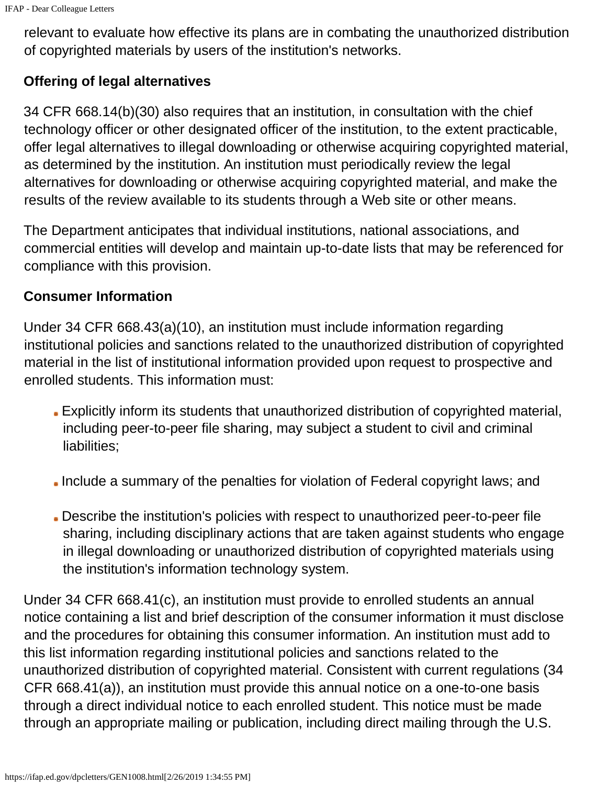relevant to evaluate how effective its plans are in combating the unauthorized distribution of copyrighted materials by users of the institution's networks.

## **Offering of legal alternatives**

34 CFR 668.14(b)(30) also requires that an institution, in consultation with the chief technology officer or other designated officer of the institution, to the extent practicable, offer legal alternatives to illegal downloading or otherwise acquiring copyrighted material, as determined by the institution. An institution must periodically review the legal alternatives for downloading or otherwise acquiring copyrighted material, and make the results of the review available to its students through a Web site or other means.

The Department anticipates that individual institutions, national associations, and commercial entities will develop and maintain up-to-date lists that may be referenced for compliance with this provision.

## **Consumer Information**

Under 34 CFR 668.43(a)(10), an institution must include information regarding institutional policies and sanctions related to the unauthorized distribution of copyrighted material in the list of institutional information provided upon request to prospective and enrolled students. This information must:

- Explicitly inform its students that unauthorized distribution of copyrighted material, including peer-to-peer file sharing, may subject a student to civil and criminal liabilities;
- Include a summary of the penalties for violation of Federal copyright laws; and
- Describe the institution's policies with respect to unauthorized peer-to-peer file sharing, including disciplinary actions that are taken against students who engage in illegal downloading or unauthorized distribution of copyrighted materials using the institution's information technology system.

Under 34 CFR 668.41(c), an institution must provide to enrolled students an annual notice containing a list and brief description of the consumer information it must disclose and the procedures for obtaining this consumer information. An institution must add to this list information regarding institutional policies and sanctions related to the unauthorized distribution of copyrighted material. Consistent with current regulations (34 CFR 668.41(a)), an institution must provide this annual notice on a one-to-one basis through a direct individual notice to each enrolled student. This notice must be made through an appropriate mailing or publication, including direct mailing through the U.S.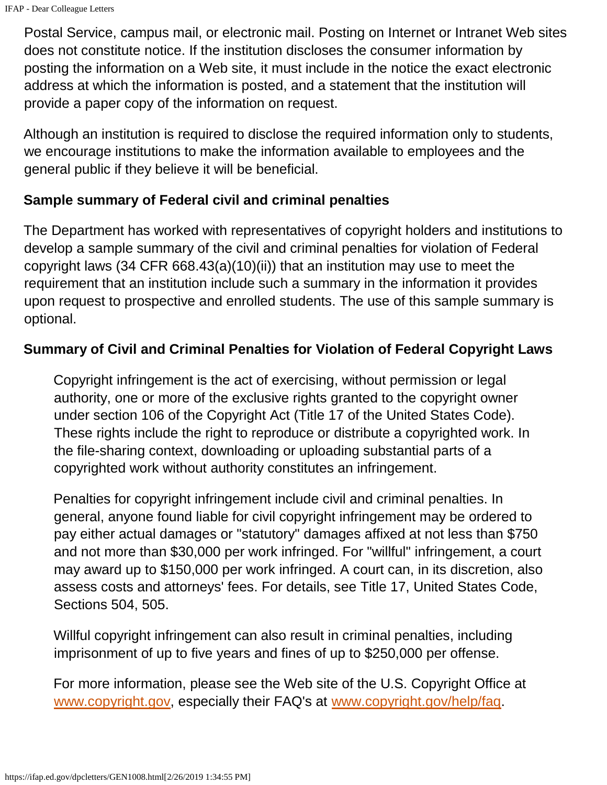Postal Service, campus mail, or electronic mail. Posting on Internet or Intranet Web sites does not constitute notice. If the institution discloses the consumer information by posting the information on a Web site, it must include in the notice the exact electronic address at which the information is posted, and a statement that the institution will provide a paper copy of the information on request.

Although an institution is required to disclose the required information only to students, we encourage institutions to make the information available to employees and the general public if they believe it will be beneficial.

## **Sample summary of Federal civil and criminal penalties**

The Department has worked with representatives of copyright holders and institutions to develop a sample summary of the civil and criminal penalties for violation of Federal copyright laws (34 CFR 668.43(a)(10)(ii)) that an institution may use to meet the requirement that an institution include such a summary in the information it provides upon request to prospective and enrolled students. The use of this sample summary is optional.

## **Summary of Civil and Criminal Penalties for Violation of Federal Copyright Laws**

Copyright infringement is the act of exercising, without permission or legal authority, one or more of the exclusive rights granted to the copyright owner under section 106 of the Copyright Act (Title 17 of the United States Code). These rights include the right to reproduce or distribute a copyrighted work. In the file-sharing context, downloading or uploading substantial parts of a copyrighted work without authority constitutes an infringement.

Penalties for copyright infringement include civil and criminal penalties. In general, anyone found liable for civil copyright infringement may be ordered to pay either actual damages or "statutory" damages affixed at not less than \$750 and not more than \$30,000 per work infringed. For "willful" infringement, a court may award up to \$150,000 per work infringed. A court can, in its discretion, also assess costs and attorneys' fees. For details, see Title 17, United States Code, Sections 504, 505.

Willful copyright infringement can also result in criminal penalties, including imprisonment of up to five years and fines of up to \$250,000 per offense.

For more information, please see the Web site of the U.S. Copyright Office at www.copyright.gov, especially their FAQ's at [www.copyright.gov/help/faq.](http://www.copyright.gov/help/faq.Thank)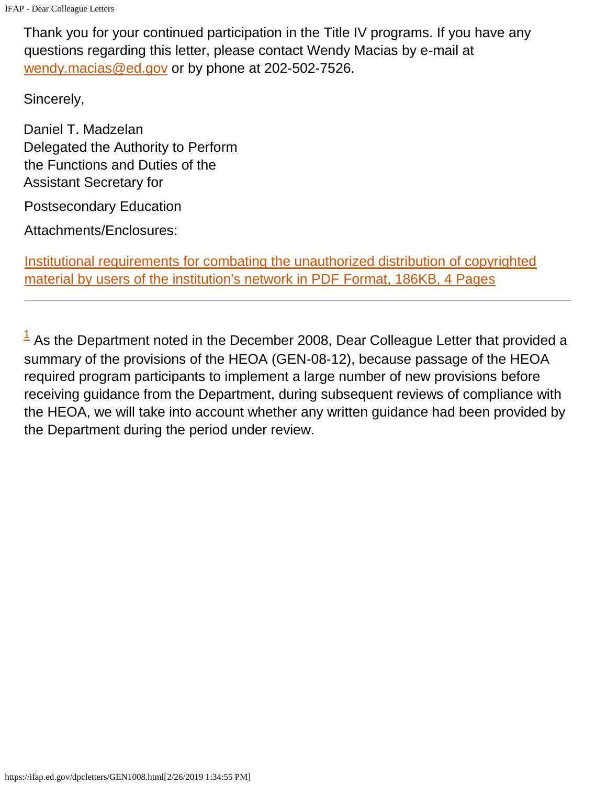[Thank you](http://www.copyright.gov/help/faq.Thank) for your continued participation in the Title IV programs. If you have any questions regarding this letter, please contact Wendy Macias by e-mail at wendy.macias@ed.gov or by phone at 202-502-7526.

Sincerely,

Daniel T. Madzelan Delegated the Authority to Perform the Functions and Duties of the Assistant Secretary for

Postsecondary Education

Attachments/Enclosures:

Institutional requirements for combating the unauthorized distribution of copyrighted material by users of the institution's network in PDF Format, 186KB, 4 Pages

 $<sup>1</sup>$  As the Department noted in the December 2008, Dear Colleague Letter that provided a</sup> summary of the provisions of the HEOA (GEN-08-12), because passage of the HEOA required program participants to implement a large number of new provisions before receiving guidance from the Department, during subsequent reviews of compliance with the HEOA, we will take into account whether any written guidance had been provided by the Department during the period under review.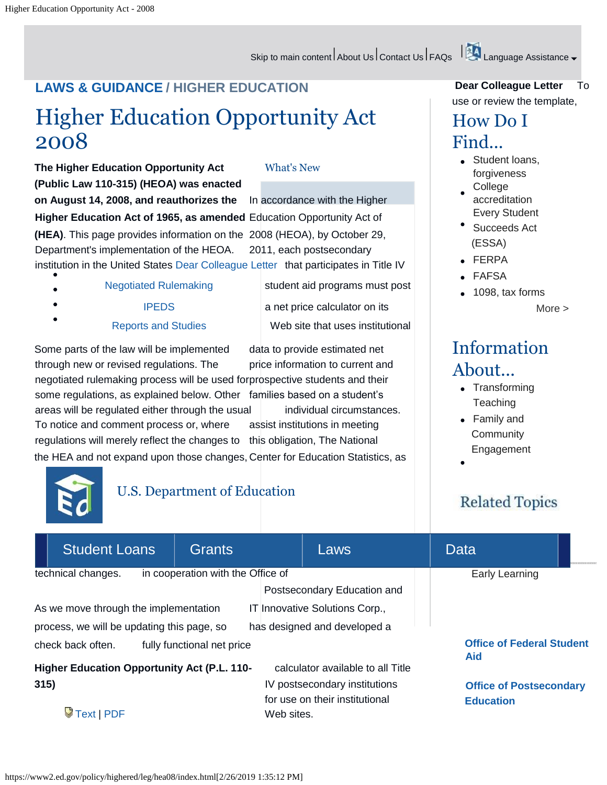## Skip to main content About Us Contact Us FAQs | Alenguage Assistance  $\downarrow$

# **LAWS & GUIDANCE / HIGHER EDUCATION**

# Higher Education Opportunity Act 2008

**The Higher Education Opportunity Act** What's New **(Public Law 110-315) (HEOA) was enacted on August 14, 2008, and reauthorizes the** In accordance with the Higher **Higher Education Act of 1965, as amended** Education Opportunity Act of **(HEA)**. This page provides information on the 2008 (HEOA), by October 29, Department's implementation of the HEOA. 2011, each postsecondary institution in the United States Dear Colleague Letter that participates in Title IV

- Negotiated Rulemaking student aid programs must post
- IPEDS a net price calculator on its
	-

Reports and Studies Web site that uses institutional

Some parts of the law will be implemented data to provide estimated net through new or revised regulations. The price information to current and negotiated rulemaking process will be used forprospective students and their some regulations, as explained below. Other families based on a student's areas will be regulated either through the usual individual circumstances. To notice and comment process or, where assist institutions in meeting regulations will merely reflect the changes to this obligation, The National the HEA and not expand upon those changes, Center for Education Statistics, as

## **Dear Colleague Letter** To use or review the template,

## How Do I Find...

- **Student loans,** forgiveness
- College accreditation Every Student
- Succeeds Act (ESSA)
- FERPA
- FAFSA
- 1098, tax forms

More >

# Information About...

- Transforming **Teaching**
- Family and **Community** Engagement

# **Related Topics**

| <b>Student Loans</b>                                                                    | <b>Grants</b>              | Laws                           | Data                                           |  |
|-----------------------------------------------------------------------------------------|----------------------------|--------------------------------|------------------------------------------------|--|
| in cooperation with the Office of<br>technical changes.                                 | Early Learning             |                                |                                                |  |
|                                                                                         |                            | Postsecondary Education and    |                                                |  |
| As we move through the implementation                                                   |                            |                                |                                                |  |
| has designed and developed a<br>process, we will be updating this page, so              |                            |                                |                                                |  |
| check back often.                                                                       | fully functional net price |                                | <b>Office of Federal Student</b><br><b>Aid</b> |  |
| <b>Higher Education Opportunity Act (P.L. 110-</b><br>calculator available to all Title |                            |                                |                                                |  |
| 315)                                                                                    |                            | IV postsecondary institutions  | <b>Office of Postsecondary</b>                 |  |
|                                                                                         |                            | for use on their institutional | <b>Education</b>                               |  |
| $\sqrt{$ Text   PDF                                                                     |                            | Web sites.                     |                                                |  |



U.S. Department of Education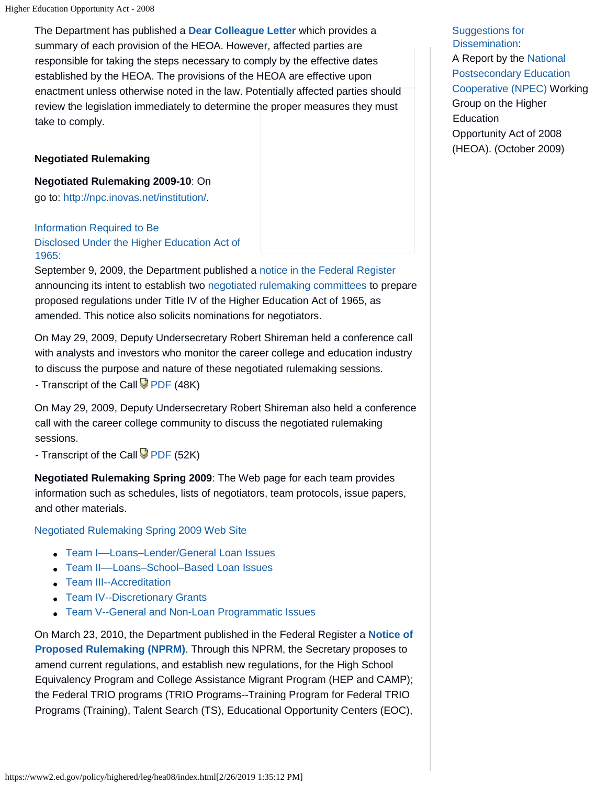The Department has published a **Dear Colleague Letter** which provides a summary of each provision of the HEOA. However, affected parties are responsible for taking the steps necessary to comply by the effective dates established by the HEOA. The provisions of the HEOA are effective upon enactment unless otherwise noted in the law. Potentially affected parties should review the legislation immediately to determine the proper measures they must take to comply.

#### **Negotiated Rulemaking**

**Negotiated Rulemaking 2009-10**: On go to: [http://npc.inovas.net/institution/.](http://npc.inovas.net/institution/.Information)

[Information Re](http://npc.inovas.net/institution/.Information)quired to Be Disclosed Under the Higher Education Act of 1965:

September 9, 2009, the Department published a notice in the Federal Register announcing its intent to establish two negotiated rulemaking committees to prepare proposed regulations under Title IV of the Higher Education Act of 1965, as amended. This notice also solicits nominations for negotiators.

On May 29, 2009, Deputy Undersecretary Robert Shireman held a conference call with analysts and investors who monitor the career college and education industry to discuss the purpose and nature of these negotiated rulemaking sessions. - Transcript of the Call PDF (48K)

On May 29, 2009, Deputy Undersecretary Robert Shireman also held a conference call with the career college community to discuss the negotiated rulemaking sessions.

- Transcript of the Call  $\overline{\mathcal{P}}$  PDF (52K)

**Negotiated Rulemaking Spring 2009**: The Web page for each team provides information such as schedules, lists of negotiators, team protocols, issue papers, and other materials.

Negotiated Rulemaking Spring 2009 Web Site

- Team I––Loans–Lender/General Loan Issues
- Team II––Loans–School–Based Loan Issues
- Team III--Accreditation
- Team IV--Discretionary Grants
- Team V--General and Non-Loan Programmatic Issues

On March 23, 2010, the Department published in the Federal Register a **Notice of Proposed Rulemaking (NPRM)**. Through this NPRM, the Secretary proposes to amend current regulations, and establish new regulations, for the High School Equivalency Program and College Assistance Migrant Program (HEP and CAMP); the Federal TRIO programs (TRIO Programs--Training Program for Federal TRIO Programs (Training), Talent Search (TS), Educational Opportunity Centers (EOC),

Suggestions for Dissemination: A Report by the National Postsecondary Education Cooperative (NPEC) Working Group on the Higher Education Opportunity Act of 2008 (HEOA). (October 2009)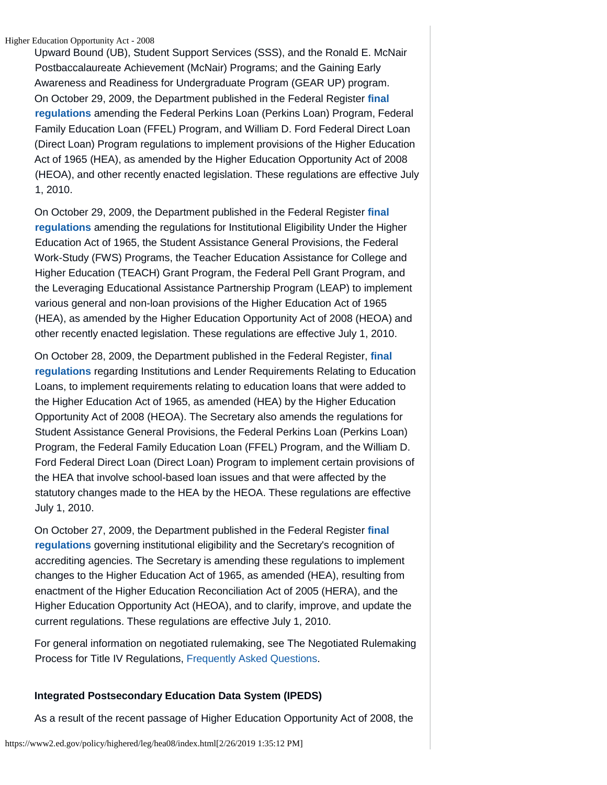Higher Education Opportunity Act - 2008

Upward Bound (UB), Student Support Services (SSS), and the Ronald E. McNair Postbaccalaureate Achievement (McNair) Programs; and the Gaining Early Awareness and Readiness for Undergraduate Program (GEAR UP) program. On October 29, 2009, the Department published in the Federal Register **final regulations** amending the Federal Perkins Loan (Perkins Loan) Program, Federal Family Education Loan (FFEL) Program, and William D. Ford Federal Direct Loan (Direct Loan) Program regulations to implement provisions of the Higher Education Act of 1965 (HEA), as amended by the Higher Education Opportunity Act of 2008 (HEOA), and other recently enacted legislation. These regulations are effective July 1, 2010.

On October 29, 2009, the Department published in the Federal Register **final regulations** amending the regulations for Institutional Eligibility Under the Higher Education Act of 1965, the Student Assistance General Provisions, the Federal Work-Study (FWS) Programs, the Teacher Education Assistance for College and Higher Education (TEACH) Grant Program, the Federal Pell Grant Program, and the Leveraging Educational Assistance Partnership Program (LEAP) to implement various general and non-loan provisions of the Higher Education Act of 1965 (HEA), as amended by the Higher Education Opportunity Act of 2008 (HEOA) and other recently enacted legislation. These regulations are effective July 1, 2010.

On October 28, 2009, the Department published in the Federal Register, **final regulations** regarding Institutions and Lender Requirements Relating to Education Loans, to implement requirements relating to education loans that were added to the Higher Education Act of 1965, as amended (HEA) by the Higher Education Opportunity Act of 2008 (HEOA). The Secretary also amends the regulations for Student Assistance General Provisions, the Federal Perkins Loan (Perkins Loan) Program, the Federal Family Education Loan (FFEL) Program, and the William D. Ford Federal Direct Loan (Direct Loan) Program to implement certain provisions of the HEA that involve school-based loan issues and that were affected by the statutory changes made to the HEA by the HEOA. These regulations are effective July 1, 2010.

On October 27, 2009, the Department published in the Federal Register **final regulations** governing institutional eligibility and the Secretary's recognition of accrediting agencies. The Secretary is amending these regulations to implement changes to the Higher Education Act of 1965, as amended (HEA), resulting from enactment of the Higher Education Reconciliation Act of 2005 (HERA), and the Higher Education Opportunity Act (HEOA), and to clarify, improve, and update the current regulations. These regulations are effective July 1, 2010.

For general information on negotiated rulemaking, see The Negotiated Rulemaking Process for Title IV Regulations, Frequently Asked Questions.

## **Integrated Postsecondary Education Data System (IPEDS)**

As a result of the recent passage of Higher Education Opportunity Act of 2008, the